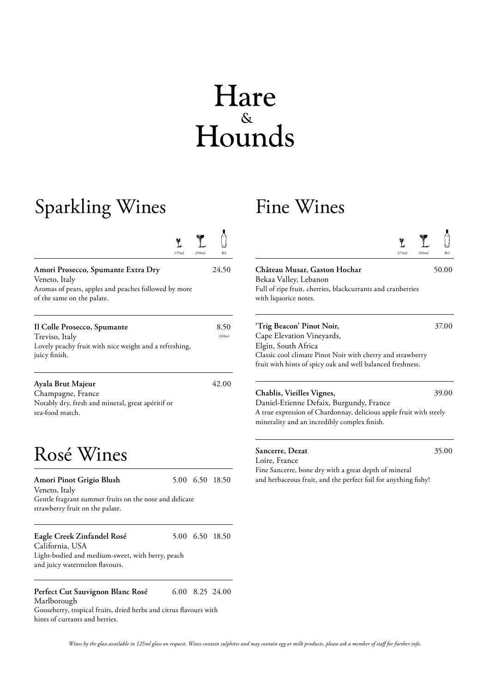# Hare Hounds

## Sparkling Wines

| W     | <b>Grade</b> | $\sim$ |
|-------|--------------|--------|
| Asi   | المصطبر      | تتا    |
| 175ml | 250ml        |        |

| Amori Prosecco, Spumante Extra Dry                   | 24.50 |
|------------------------------------------------------|-------|
| Veneto, Italy                                        |       |
| Aromas of pears, apples and peaches followed by more |       |
| of the same on the palate.                           |       |
|                                                      |       |

| Il Colle Prosecco, Spumante                                             | 8.50  |
|-------------------------------------------------------------------------|-------|
| Treviso, Italy                                                          | 200ml |
| Lovely peachy fruit with nice weight and a refreshing,<br>juicy finish. |       |

Ayala Brut Majeur 42.00 Champagne, France Notably dry, fresh and mineral, great apéritif or sea-food match.

### Rosé Wines

| Amori Pinot Grigio Blush<br>Veneto, Italy                                                 |  | 5.00 6.50 18.50 |
|-------------------------------------------------------------------------------------------|--|-----------------|
| Gentle fragrant summer fruits on the nose and delicate<br>strawberry fruit on the palate. |  |                 |
| Eagle Creek Zinfandel Rosé<br>$C$ 1: $C$ $\rightarrow$ 1.10 A                             |  | 5.00 6.50 18.50 |

California, USA Light-bodied and medium-sweet, with berry, peach and juicy watermelon flavours.

**Perfect Cut Sauvignon Blanc Rosé** 6.00 8.25 24.00 Marlborough

Gooseberry, tropical fruits, dried herbs and citrus flavours with hints of currants and berries.

#### Fine Wines

| 175ml<br>250ml    | Btl           | 175ml<br>250ml                                                                                                                                                                                            | Btl   |
|-------------------|---------------|-----------------------------------------------------------------------------------------------------------------------------------------------------------------------------------------------------------|-------|
| <sup>7</sup> more | 24.50         | Château Musar, Gaston Hochar<br>Bekaa Valley, Lebanon<br>Full of ripe fruit, cherries, blackcurrants and cranberries<br>with liquorice notes.                                                             | 50.00 |
| shing,            | 8.50<br>200ml | 'Trig Beacon' Pinot Noir,<br>Cape Elevation Vineyards,<br>Elgin, South Africa<br>Classic cool climate Pinot Noir with cherry and strawberry<br>fruit with hints of spicy oak and well balanced freshness. | 37.00 |
|                   | 42.00         | Chablis, Vieilles Vignes,                                                                                                                                                                                 | 39.00 |

Daniel-Etienne Defaix, Burgundy, France A true expression of Chardonnay, delicious apple fruit with steely minerality and an incredibly complex finish.

**Sancerre, Dezat** 35.00

Loire, France Fine Sancerre, bone dry with a great depth of mineral and herbaceous fruit, and the perfect foil for anything fishy!